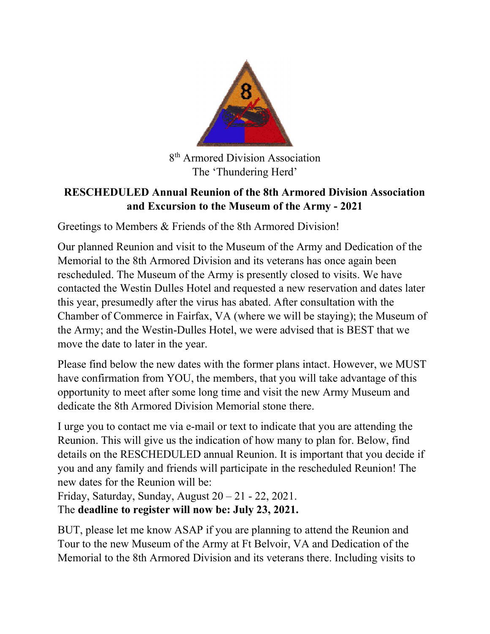

8 th Armored Division Association The 'Thundering Herd'

## RESCHEDULED Annual Reunion of the 8th Armored Division Association and Excursion to the Museum of the Army - 2021

Greetings to Members & Friends of the 8th Armored Division!

Our planned Reunion and visit to the Museum of the Army and Dedication of the Memorial to the 8th Armored Division and its veterans has once again been rescheduled. The Museum of the Army is presently closed to visits. We have contacted the Westin Dulles Hotel and requested a new reservation and dates later this year, presumedly after the virus has abated. After consultation with the Chamber of Commerce in Fairfax, VA (where we will be staying); the Museum of the Army; and the Westin-Dulles Hotel, we were advised that is BEST that we move the date to later in the year.

Please find below the new dates with the former plans intact. However, we MUST have confirmation from YOU, the members, that you will take advantage of this opportunity to meet after some long time and visit the new Army Museum and dedicate the 8th Armored Division Memorial stone there.

I urge you to contact me via e-mail or text to indicate that you are attending the Reunion. This will give us the indication of how many to plan for. Below, find details on the RESCHEDULED annual Reunion. It is important that you decide if you and any family and friends will participate in the rescheduled Reunion! The new dates for the Reunion will be:

Friday, Saturday, Sunday, August  $20 - 21 - 22$ , 2021. The deadline to register will now be: July 23, 2021.

BUT, please let me know ASAP if you are planning to attend the Reunion and Tour to the new Museum of the Army at Ft Belvoir, VA and Dedication of the Memorial to the 8th Armored Division and its veterans there. Including visits to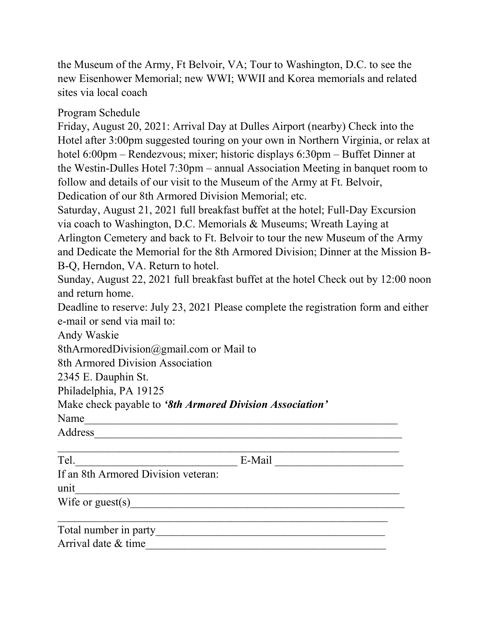the Museum of the Army, Ft Belvoir, VA; Tour to Washington, D.C. to see the new Eisenhower Memorial; new WWI; WWII and Korea memorials and related sites via local coach

Program Schedule

Friday, August 20, 2021: Arrival Day at Dulles Airport (nearby) Check into the Hotel after 3:00pm suggested touring on your own in Northern Virginia, or relax at hotel 6:00pm – Rendezvous; mixer; historic displays 6:30pm – Buffet Dinner at the Westin-Dulles Hotel 7:30pm – annual Association Meeting in banquet room to follow and details of our visit to the Museum of the Army at Ft. Belvoir, Dedication of our 8th Armored Division Memorial; etc.

Saturday, August 21, 2021 full breakfast buffet at the hotel; Full-Day Excursion via coach to Washington, D.C. Memorials & Museums; Wreath Laying at

Arlington Cemetery and back to Ft. Belvoir to tour the new Museum of the Army and Dedicate the Memorial for the 8th Armored Division; Dinner at the Mission B-B-Q, Herndon, VA. Return to hotel.

Sunday, August 22, 2021 full breakfast buffet at the hotel Check out by 12:00 noon and return home.

Deadline to reserve: July 23, 2021 Please complete the registration form and either e-mail or send via mail to:

Andy Waskie

8thArmoredDivision@gmail.com or Mail to

8th Armored Division Association

2345 E. Dauphin St.

Philadelphia, PA 19125

Make check payable to '8th Armored Division Association'

Name

Address\_\_\_\_\_\_\_\_\_\_\_\_\_\_\_\_\_\_\_\_\_\_\_\_\_\_\_\_\_\_\_\_\_\_\_\_\_\_\_\_\_\_\_\_\_\_\_\_\_\_\_\_\_\_\_

| Tel.                                | E-Mail |
|-------------------------------------|--------|
| If an 8th Armored Division veteran: |        |
| unit                                |        |
| Wife or guest(s) $\qquad \qquad$    |        |
|                                     |        |
| Total number in party               |        |
| Arrival date & time                 |        |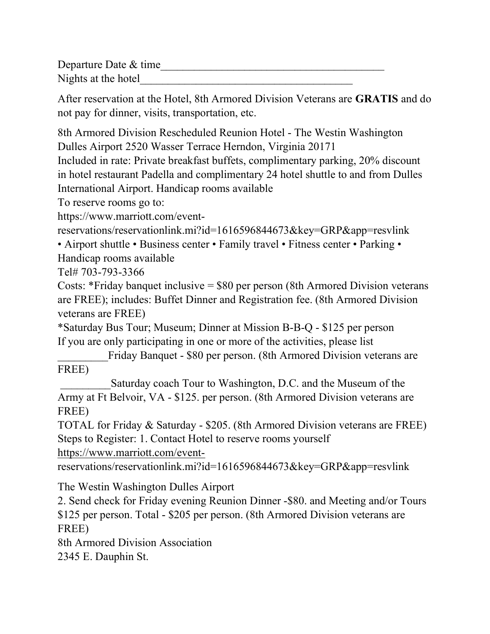Departure Date  $&$  time

Nights at the hotel

After reservation at the Hotel, 8th Armored Division Veterans are GRATIS and do not pay for dinner, visits, transportation, etc.

8th Armored Division Rescheduled Reunion Hotel - The Westin Washington Dulles Airport 2520 Wasser Terrace Herndon, Virginia 20171

Included in rate: Private breakfast buffets, complimentary parking, 20% discount in hotel restaurant Padella and complimentary 24 hotel shuttle to and from Dulles International Airport. Handicap rooms available

To reserve rooms go to:

https://www.marriott.com/event-

reservations/reservationlink.mi?id=1616596844673&key=GRP&app=resvlink

• Airport shuttle • Business center • Family travel • Fitness center • Parking • Handicap rooms available

Tel# 703-793-3366

Costs: \*Friday banquet inclusive = \$80 per person (8th Armored Division veterans are FREE); includes: Buffet Dinner and Registration fee. (8th Armored Division veterans are FREE)

\*Saturday Bus Tour; Museum; Dinner at Mission B-B-Q - \$125 per person If you are only participating in one or more of the activities, please list

Friday Banquet - \$80 per person. (8th Armored Division veterans are FREE)

Saturday coach Tour to Washington, D.C. and the Museum of the Army at Ft Belvoir, VA - \$125. per person. (8th Armored Division veterans are FREE)

TOTAL for Friday & Saturday - \$205. (8th Armored Division veterans are FREE) Steps to Register: 1. Contact Hotel to reserve rooms yourself

https://www.marriott.com/event-

reservations/reservationlink.mi?id=1616596844673&key=GRP&app=resvlink

The Westin Washington Dulles Airport

2. Send check for Friday evening Reunion Dinner -\$80. and Meeting and/or Tours \$125 per person. Total - \$205 per person. (8th Armored Division veterans are FREE)

8th Armored Division Association 2345 E. Dauphin St.